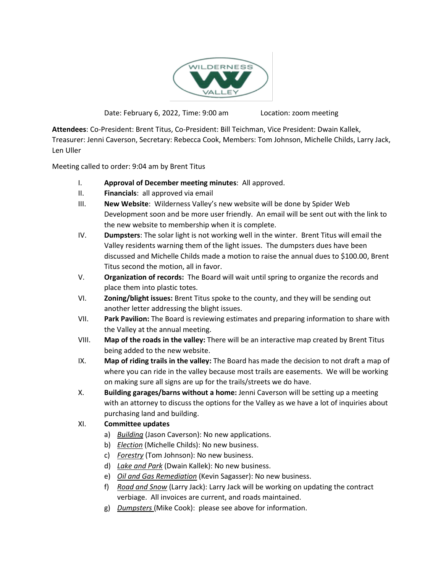

Date: February 6, 2022, Time: 9:00 am Location: zoom meeting

**Attendees**: Co-President: Brent Titus, Co-President: Bill Teichman, Vice President: Dwain Kallek, Treasurer: Jenni Caverson, Secretary: Rebecca Cook, Members: Tom Johnson, Michelle Childs, Larry Jack, Len Uller

Meeting called to order: 9:04 am by Brent Titus

- I. **Approval of December meeting minutes**: All approved.
- II. **Financials**: all approved via email
- III. **New Website**: Wilderness Valley's new website will be done by Spider Web Development soon and be more user friendly. An email will be sent out with the link to the new website to membership when it is complete.
- IV. **Dumpsters**: The solar light is not working well in the winter. Brent Titus will email the Valley residents warning them of the light issues. The dumpsters dues have been discussed and Michelle Childs made a motion to raise the annual dues to \$100.00, Brent Titus second the motion, all in favor.
- V. **Organization of records:** The Board will wait until spring to organize the records and place them into plastic totes.
- VI. **Zoning/blight issues:** Brent Titus spoke to the county, and they will be sending out another letter addressing the blight issues.
- VII. **Park Pavilion:** The Board is reviewing estimates and preparing information to share with the Valley at the annual meeting.
- VIII. **Map of the roads in the valley:** There will be an interactive map created by Brent Titus being added to the new website.
- IX. **Map of riding trails in the valley:** The Board has made the decision to not draft a map of where you can ride in the valley because most trails are easements. We will be working on making sure all signs are up for the trails/streets we do have.
- X. **Building garages/barns without a home:** Jenni Caverson will be setting up a meeting with an attorney to discuss the options for the Valley as we have a lot of inquiries about purchasing land and building.

## XI. **Committee updates**

- a) *Building* (Jason Caverson): No new applications.
- b) *Election* (Michelle Childs): No new business.
- c) *Forestry* (Tom Johnson): No new business.
- d) *Lake and Park* (Dwain Kallek): No new business.
- e) *Oil and Gas Remediation* (Kevin Sagasser): No new business.
- f) *Road and Snow* (Larry Jack): Larry Jack will be working on updating the contract verbiage. All invoices are current, and roads maintained.
- g) *Dumpsters* (Mike Cook): please see above for information.